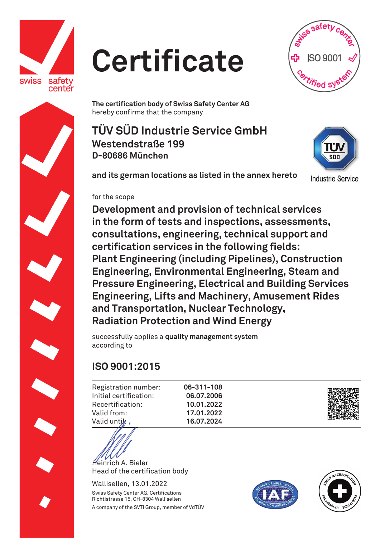

## **Certificate**



**The certification body of Swiss Safety Center AG**  hereby confirms that the company

**TÜV SÜD Industrie Service GmbH Westendstraße 199 D-80686 München** 



**and its german locations as listed in the annex hereto**

**Industrie Service** 

## for the scope

**Development and provision of technical services in the form of tests and inspections, assessments, consultations, engineering, technical support and certification services in the following fields: Plant Engineering (including Pipelines), Construction Engineering, Environmental Engineering, Steam and Pressure Engineering, Electrical and Building Services Engineering, Lifts and Machinery, Amusement Rides and Transportation, Nuclear Technology, Radiation Protection and Wind Energy** 

successfully applies a **quality management system** according to

## **ISO 9001:2015**

Registration number: Initial certification: Recertification: Valid from: Valid untik

**06-311-108 06.07.2006 10.01.2022 17.01.2022 16.07.2024** 



Heinrich A. Bieler Head of the certification body

Wallisellen, 13.01.2022 Swiss Safety Center AG, Certifications Richtistrasse 15, CH-8304 Wallisellen A company of the SVTI Group, member of VdTÜV